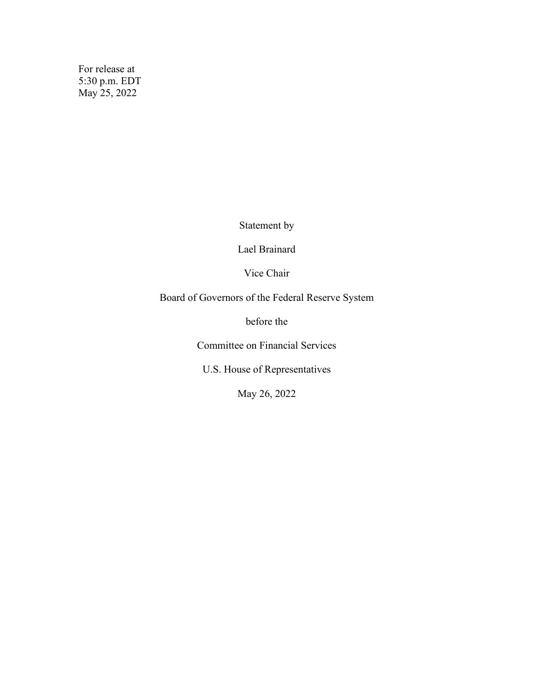For release at 5:30 p.m. EDT May 25, 2022

Statement by

Lael Brainard

Vice Chair

Board of Governors of the Federal Reserve System

before the

Committee on Financial Services

U.S. House of Representatives

May 26, 2022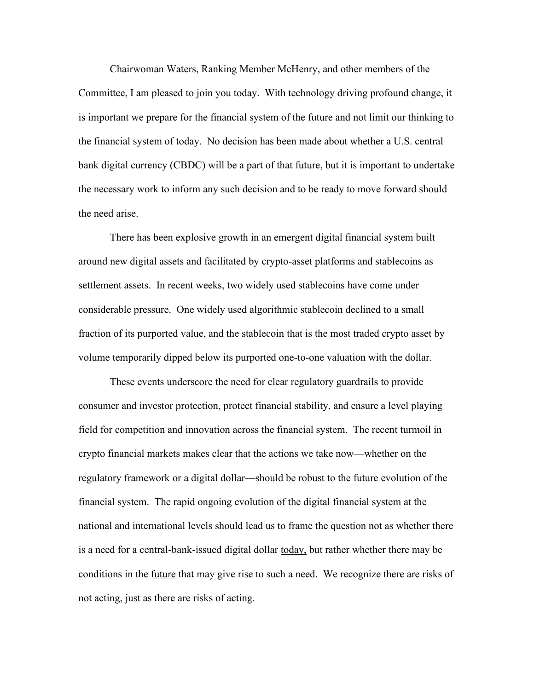Chairwoman Waters, Ranking Member McHenry, and other members of the Committee, I am pleased to join you today. With technology driving profound change, it is important we prepare for the financial system of the future and not limit our thinking to the financial system of today. No decision has been made about whether a U.S. central bank digital currency (CBDC) will be a part of that future, but it is important to undertake the necessary work to inform any such decision and to be ready to move forward should the need arise.

There has been explosive growth in an emergent digital financial system built around new digital assets and facilitated by crypto-asset platforms and stablecoins as settlement assets. In recent weeks, two widely used stablecoins have come under considerable pressure. One widely used algorithmic stablecoin declined to a small fraction of its purported value, and the stablecoin that is the most traded crypto asset by volume temporarily dipped below its purported one-to-one valuation with the dollar.

These events underscore the need for clear regulatory guardrails to provide consumer and investor protection, protect financial stability, and ensure a level playing field for competition and innovation across the financial system. The recent turmoil in crypto financial markets makes clear that the actions we take now—whether on the regulatory framework or a digital dollar—should be robust to the future evolution of the financial system. The rapid ongoing evolution of the digital financial system at the national and international levels should lead us to frame the question not as whether there is a need for a central-bank-issued digital dollar <u>today</u>, but rather whether there may be conditions in the <u>future</u> that may give rise to such a need. We recognize there are risks of not acting, just as there are risks of acting.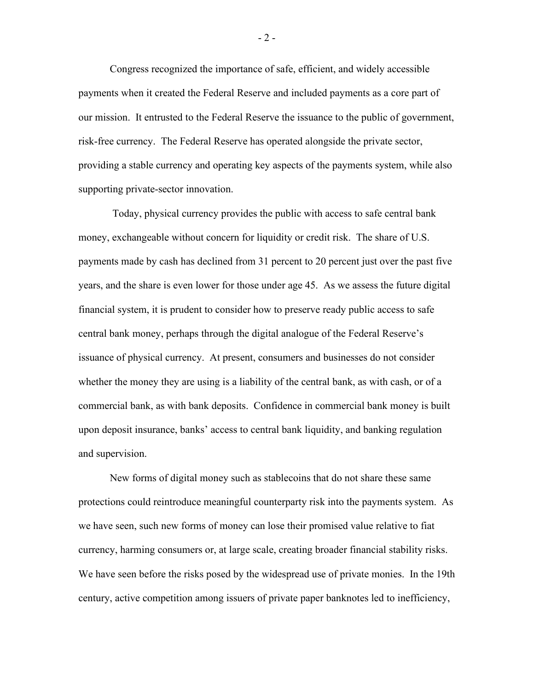Congress recognized the importance of safe, efficient, and widely accessible payments when it created the Federal Reserve and included payments as a core part of our mission. It entrusted to the Federal Reserve the issuance to the public of government, risk-free currency. The Federal Reserve has operated alongside the private sector, providing a stable currency and operating key aspects of the payments system, while also supporting private-sector innovation.

 Today, physical currency provides the public with access to safe central bank money, exchangeable without concern for liquidity or credit risk. The share of U.S. payments made by cash has declined from 31 percent to 20 percent just over the past five years, and the share is even lower for those under age 45. As we assess the future digital financial system, it is prudent to consider how to preserve ready public access to safe central bank money, perhaps through the digital analogue of the Federal Reserve's issuance of physical currency. At present, consumers and businesses do not consider whether the money they are using is a liability of the central bank, as with cash, or of a commercial bank, as with bank deposits. Confidence in commercial bank money is built upon deposit insurance, banks' access to central bank liquidity, and banking regulation and supervision.

New forms of digital money such as stablecoins that do not share these same protections could reintroduce meaningful counterparty risk into the payments system. As we have seen, such new forms of money can lose their promised value relative to fiat currency, harming consumers or, at large scale, creating broader financial stability risks. We have seen before the risks posed by the widespread use of private monies. In the 19th century, active competition among issuers of private paper banknotes led to inefficiency,

- 2 -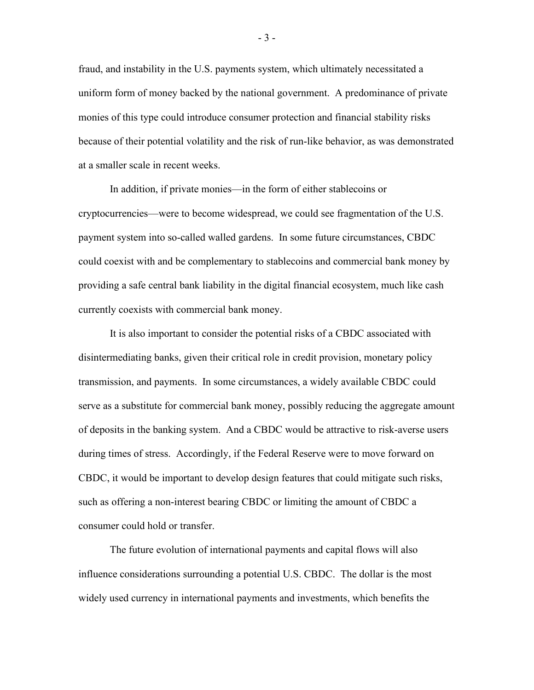fraud, and instability in the U.S. payments system, which ultimately necessitated a uniform form of money backed by the national government. A predominance of private monies of this type could introduce consumer protection and financial stability risks because of their potential volatility and the risk of run-like behavior, as was demonstrated at a smaller scale in recent weeks.

In addition, if private monies—in the form of either stablecoins or cryptocurrencies—were to become widespread, we could see fragmentation of the U.S. payment system into so-called walled gardens. In some future circumstances, CBDC could coexist with and be complementary to stablecoins and commercial bank money by providing a safe central bank liability in the digital financial ecosystem, much like cash currently coexists with commercial bank money.

It is also important to consider the potential risks of a CBDC associated with disintermediating banks, given their critical role in credit provision, monetary policy transmission, and payments. In some circumstances, a widely available CBDC could serve as a substitute for commercial bank money, possibly reducing the aggregate amount of deposits in the banking system. And a CBDC would be attractive to risk-averse users during times of stress. Accordingly, if the Federal Reserve were to move forward on CBDC, it would be important to develop design features that could mitigate such risks, such as offering a non-interest bearing CBDC or limiting the amount of CBDC a consumer could hold or transfer.

The future evolution of international payments and capital flows will also influence considerations surrounding a potential U.S. CBDC. The dollar is the most widely used currency in international payments and investments, which benefits the

- 3 -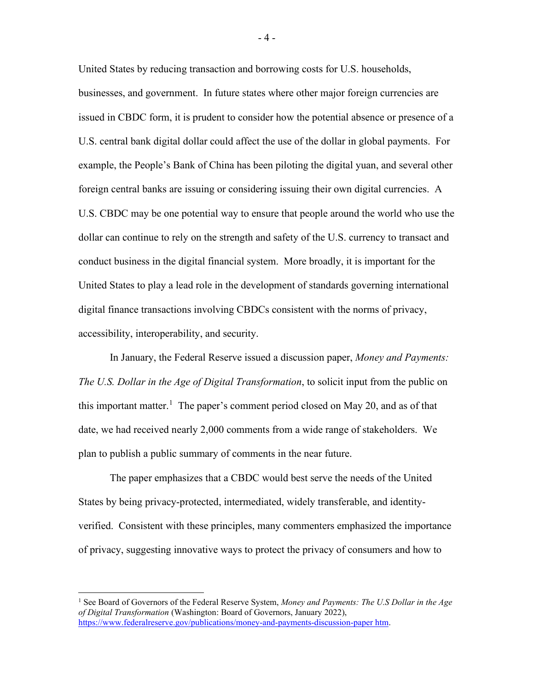United States by reducing transaction and borrowing costs for U.S. households, businesses, and government. In future states where other major foreign currencies are issued in CBDC form, it is prudent to consider how the potential absence or presence of a U.S. central bank digital dollar could affect the use of the dollar in global payments. For example, the People's Bank of China has been piloting the digital yuan, and several other foreign central banks are issuing or considering issuing their own digital currencies. A U.S. CBDC may be one potential way to ensure that people around the world who use the dollar can continue to rely on the strength and safety of the U.S. currency to transact and conduct business in the digital financial system. More broadly, it is important for the United States to play a lead role in the development of standards governing international digital finance transactions involving CBDCs consistent with the norms of privacy, accessibility, interoperability, and security.

In January, the Federal Reserve issued a discussion paper, *Money and Payments: The U.S. Dollar in the Age of Digital Transformation*, to solicit input from the public on this important matter.<sup>1</sup> The paper's comment period closed on May 20, and as of that date, we had received nearly 2,000 comments from a wide range of stakeholders. We plan to publish a public summary of comments in the near future.

The paper emphasizes that a CBDC would best serve the needs of the United States by being privacy-protected, intermediated, widely transferable, and identityverified. Consistent with these principles, many commenters emphasized the importance of privacy, suggesting innovative ways to protect the privacy of consumers and how to

- 4 -

<sup>1</sup> See Board of Governors of the Federal Reserve System, *Money and Payments: The U.S Dollar in the Age of Digital Transformation* (Washington: Board of Governors, January 2022), https://www.federalreserve.gov/publications/money-and-payments-discussion-paper htm.